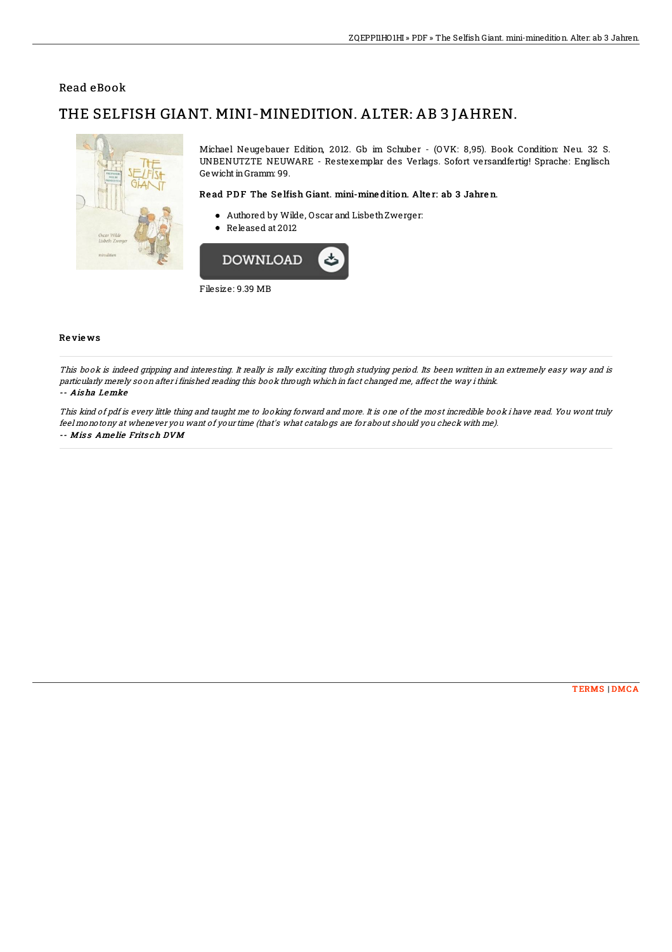## Read eBook

# THE SELFISH GIANT. MINI-MINEDITION. ALTER: AB 3 JAHREN.



Michael Neugebauer Edition, 2012. Gb im Schuber - (OVK: 8,95). Book Condition: Neu. 32 S. UNBENUTZTE NEUWARE - Restexemplar des Verlags. Sofort versandfertig! Sprache: Englisch Gewicht inGramm: 99.

### Re ad PD F The Se lfish Giant. mini-mine dition. Alte r: ab 3 Jahre n.

- Authored by Wilde, Oscar and LisbethZwerger:
- Released at 2012



#### Re vie ws

This book is indeed gripping and interesting. It really is rally exciting throgh studying period. Its been written in an extremely easy way and is particularly merely soon after i finished reading this book through which in fact changed me, affect the way ithink. -- Ais ha Lemke

This kind of pdf is every little thing and taught me to looking forward and more. It is one of the most incredible book i have read. You wont truly feel monotony at whenever you want of your time (that's what catalogs are for about should you check with me). -- Miss Amelie Fritsch DVM